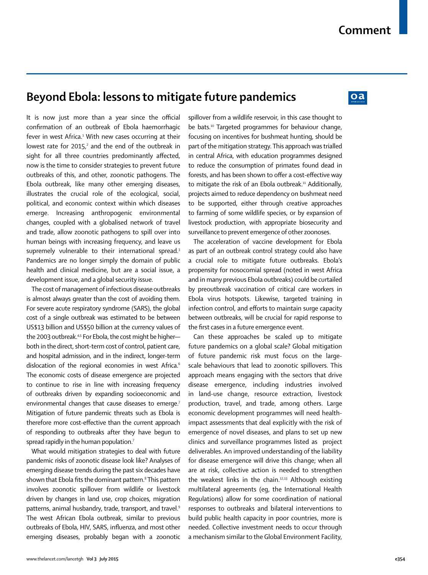## **Beyond Ebola: lessons to mitigate future pandemics**

## $oa$

It is now just more than a year since the official confirmation of an outbreak of Ebola haemorrhagic fever in west Africa.<del>'</del> With new cases occurring at their lowest rate for 2015, $^2$  and the end of the outbreak in sight for all three countries predominantly affected, now is the time to consider strategies to prevent future outbreaks of this, and other, zoonotic pathogens. The Ebola outbreak, like many other emerging diseases, illustrates the crucial role of the ecological, social, political, and economic context within which diseases emerge. Increasing anthropogenic environmental changes, coupled with a globalised network of travel and trade, allow zoonotic pathogens to spill over into human beings with increasing frequency, and leave us supremely vulnerable to their international spread.<sup>3</sup> Pandemics are no longer simply the domain of public health and clinical medicine, but are a social issue, a development issue, and a global security issue.

The cost of management of infectious disease outbreaks is almost always greater than the cost of avoiding them. For severe acute respiratory syndrome (SARS), the global cost of a single outbreak was estimated to be between US\$13 billion and US\$50 billion at the currency values of the 2003 outbreak.<sup>4,5</sup> For Ebola, the cost might be higherboth in the direct, short-term cost of control, patient care, and hospital admission, and in the indirect, longer-term dislocation of the regional economies in west Africa.<sup>6</sup> The economic costs of disease emergence are projected to continue to rise in line with increasing frequency of outbreaks driven by expanding socioeconomic and environmental changes that cause diseases to emerge.<sup>7</sup> Mitigation of future pandemic threats such as Ebola is therefore more cost-effective than the current approach of responding to outbreaks after they have begun to spread rapidly in the human population.7

What would mitigation strategies to deal with future pandemic risks of zoonotic disease look like? Analyses of emerging disease trends during the past six decades have shown that Ebola fits the dominant pattern. $^{\rm 8}$ This pattern involves zoonotic spillover from wildlife or livestock driven by changes in land use, crop choices, migration patterns, animal husbandry, trade, transport, and travel.<sup>9</sup> The west African Ebola outbreak, similar to previous outbreaks of Ebola, HIV, SARS, influenza, and most other emerging diseases, probably began with a zoonotic spillover from a wildlife reservoir, in this case thought to be bats.<sup>10</sup> Targeted programmes for behaviour change, focusing on incentives for bushmeat hunting, should be part of the mitigation strategy. This approach was trialled in central Africa, with education programmes designed to reduce the consumption of primates found dead in forests, and has been shown to offer a cost-effective way to mitigate the risk of an Ebola outbreak.<sup>11</sup> Additionally, projects aimed to reduce dependency on bushmeat need to be supported, either through creative approaches to farming of some wildlife species, or by expansion of livestock production, with appropriate biosecurity and surveillance to prevent emergence of other zoonoses.

The acceleration of vaccine development for Ebola as part of an outbreak control strategy could also have a crucial role to mitigate future outbreaks. Ebola's propensity for nosocomial spread (noted in west Africa and in many previous Ebola outbreaks) could be curtailed by preoutbreak vaccination of critical care workers in Ebola virus hotspots. Likewise, targeted training in infection control, and efforts to maintain surge capacity between outbreaks, will be crucial for rapid response to the first cases in a future emergence event.

Can these approaches be scaled up to mitigate future pandemics on a global scale? Global mitigation of future pandemic risk must focus on the largescale behaviours that lead to zoonotic spillovers. This approach means engaging with the sectors that drive disease emergence, including industries involved in land-use change, resource extraction, livestock production, travel, and trade, among others. Large economic development programmes will need healthimpact assessments that deal explicitly with the risk of emergence of novel diseases, and plans to set up new clinics and surveillance programmes listed as project deliverables. An improved understanding of the liability for disease emergence will drive this change; when all are at risk, collective action is needed to strengthen the weakest links in the chain.<sup>12,13</sup> Although existing multilateral agreements (eg, the International Health Regulations) allow for some coordination of national responses to outbreaks and bilateral interventions to build public health capacity in poor countries, more is needed. Collective investment needs to occur through a mechanism similar to the Global Environment Facility,